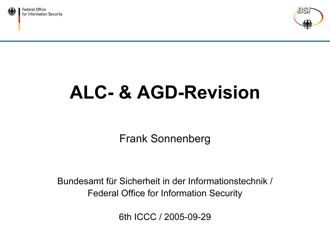



Frank Sonnenberg

Bundesamt für Sicherheit in der Informationstechnik /Federal Office for Information Security

6th ICCC / 2005-09-29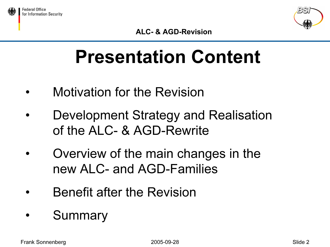



### Presentation Content

- •Motivation for the Revision
- • Development Strategy and Realisation of the ALC- & AGD-Rewrite
- • Overview of the main changes in the new ALC- and AGD-Families
- •Benefit after the Revision
- •**Summary**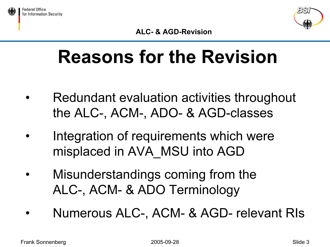



### Reasons for the Revision

- • Redundant evaluation activities throughout the ALC-, ACM-, ADO- & AGD-classes
- • Integration of requirements which were misplaced in AVA\_MSU into AGD
- • Misunderstandings coming from the ALC-, ACM- & ADO Terminology
- •Numerous ALC-, ACM- & AGD- relevant RIs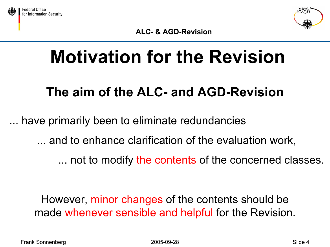



### Motivation for the Revision

#### The aim of the ALC- and AGD-Revision

have primarily been to eliminate redundancies

... and to enhance clarification of the evaluation work,

... not to modify the contents of the concerned classes.

However, minor changes of the contents should be made whenever sensible and helpful for the Revision.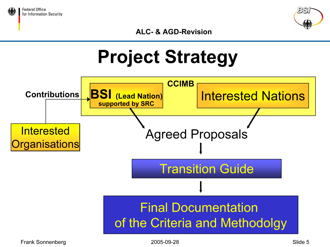







Frank Sonnenberg Slide 5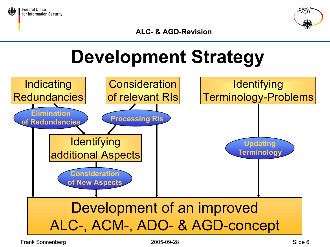



### Development Strategy

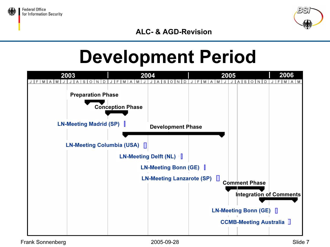



#### Development Period

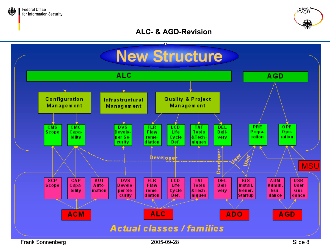



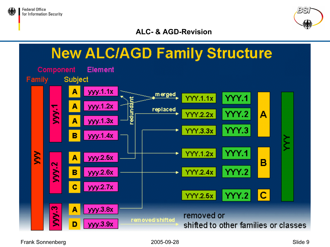



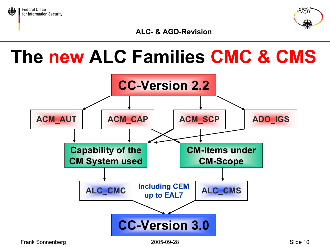



#### The new ALC Families CMC & CMS

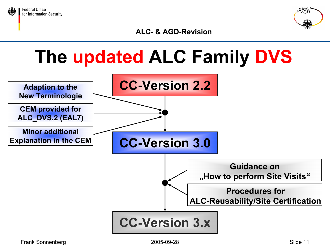



#### The updated ALC Family DVS

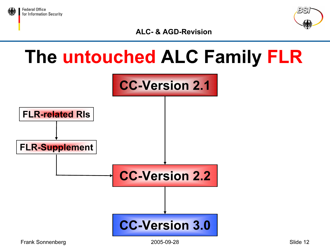



#### The untouched ALC Family FLR

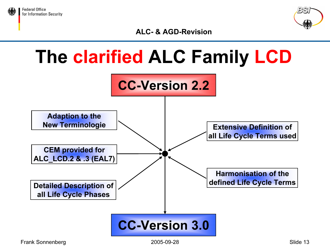



#### The clarified ALC Family LCD

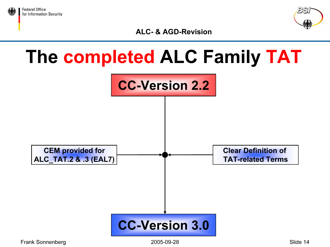



#### The completed ALC Family TAT

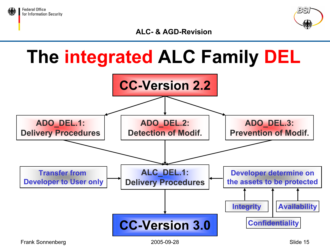



#### The integrated ALC Family DEL

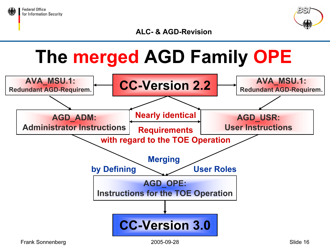



### The merged AGD Family OPE

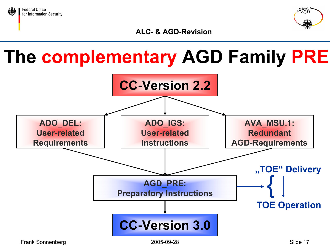



#### The complementary AGD Family PRE

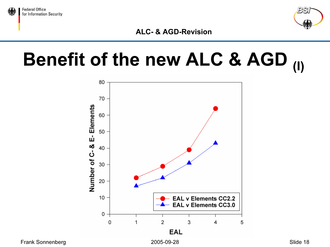



## Benefit of the new ALC & AGD (I)

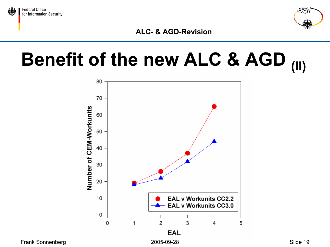



## Benefit of the new ALC & AGD (II)



Frank Sonnenberg and Europe 2005-09-28 and 2005-09-28 Slide 19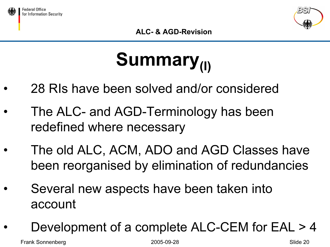



## Summary<sub>(I)</sub>

- •28 RIs have been solved and/or considered
- • The ALC- and AGD-Terminology has been redefined where necessary
- • The old ALC, ACM, ADO and AGD Classes have been reorganised by elimination of redundancies
- • Several new aspects have been taken into account
- •Development of a complete ALC-CEM for EAL > 4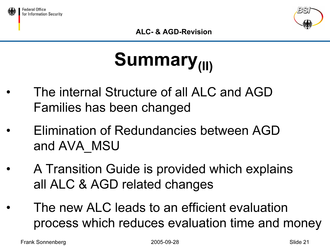



# Summary<sub>(II)</sub>

- • The internal Structure of all ALC and AGDFamilies has been changed
- • Elimination of Redundancies between AGD and AVA\_MSU
- • A Transition Guide is provided which explains all ALC & AGD related changes
	- The new ALC leads to an efficient evaluation process which reduces evaluation time and money

Frank Sonnenberg 2005-09-28 Slide 21

•